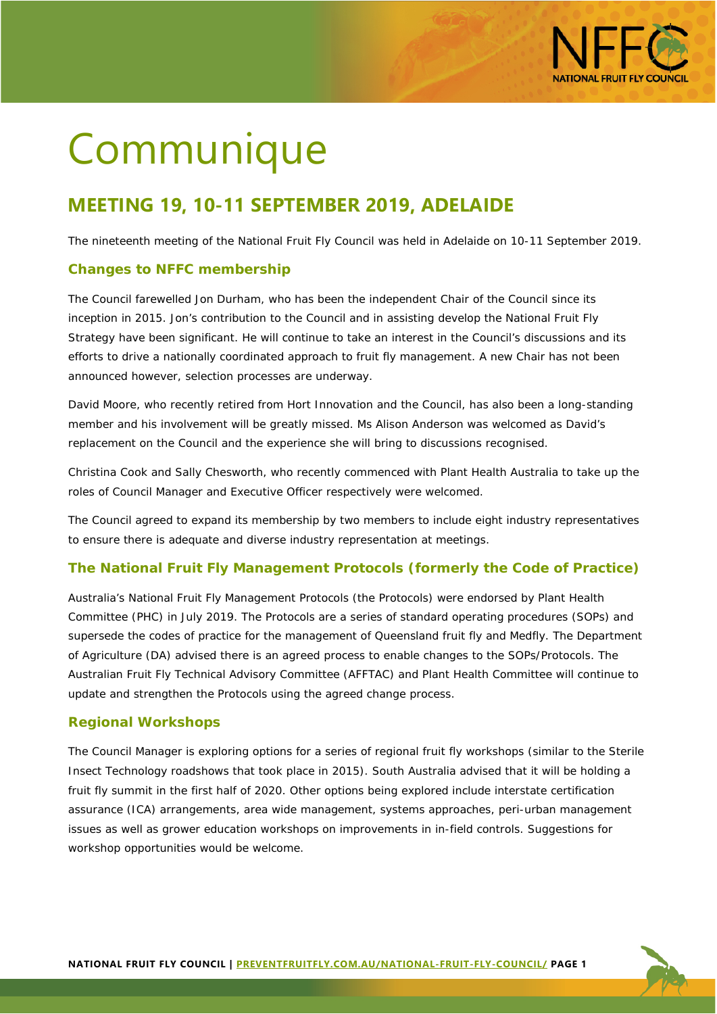

# Communique

# **MEETING 19, 10-11 SEPTEMBER 2019, ADELAIDE**

The nineteenth meeting of the National Fruit Fly Council was held in Adelaide on 10-11 September 2019.

# **Changes to NFFC membership**

The Council farewelled Jon Durham, who has been the independent Chair of the Council since its inception in 2015. Jon's contribution to the Council and in assisting develop the National Fruit Fly Strategy have been significant. He will continue to take an interest in the Council's discussions and its efforts to drive a nationally coordinated approach to fruit fly management. A new Chair has not been announced however, selection processes are underway.

David Moore, who recently retired from Hort Innovation and the Council, has also been a long-standing member and his involvement will be greatly missed. Ms Alison Anderson was welcomed as David's replacement on the Council and the experience she will bring to discussions recognised.

Christina Cook and Sally Chesworth, who recently commenced with Plant Health Australia to take up the roles of Council Manager and Executive Officer respectively were welcomed.

The Council agreed to expand its membership by two members to include eight industry representatives to ensure there is adequate and diverse industry representation at meetings.

#### **The National Fruit Fly Management Protocols (formerly the Code of Practice)**

Australia's National Fruit Fly Management Protocols (the Protocols) were endorsed by Plant Health Committee (PHC) in July 2019. The Protocols are a series of standard operating procedures (SOPs) and supersede the codes of practice for the management of Queensland fruit fly and Medfly. The Department of Agriculture (DA) advised there is an agreed process to enable changes to the SOPs/Protocols. The Australian Fruit Fly Technical Advisory Committee (AFFTAC) and Plant Health Committee will continue to update and strengthen the Protocols using the agreed change process.

#### **Regional Workshops**

The Council Manager is exploring options for a series of regional fruit fly workshops (similar to the Sterile Insect Technology roadshows that took place in 2015). South Australia advised that it will be holding a fruit fly summit in the first half of 2020. Other options being explored include interstate certification assurance (ICA) arrangements, area wide management, systems approaches, peri-urban management issues as well as grower education workshops on improvements in in-field controls. Suggestions for workshop opportunities would be welcome.